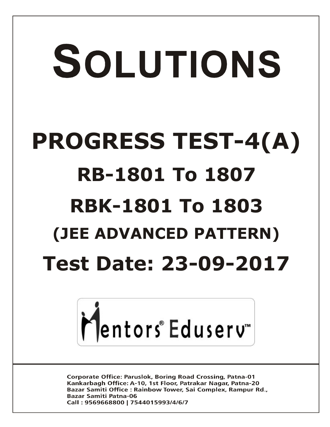# SOLUTIONS **PROGRESS TEST-4(A) RB-1801 To 1807 RBK-1801 To 1803 (JEE ADVANCED PATTERN) Test Date: 23-09-2017**



**Corporate Office: Paruslok, Boring Road Crossing, Patna-01** Kankarbagh Office: A-10, 1st Floor, Patrakar Nagar, Patna-20 Bazar Samiti Office: Rainbow Tower, Sai Complex, Rampur Rd., **Bazar Samiti Patna-06** Call: 9569668800 | 7544015993/4/6/7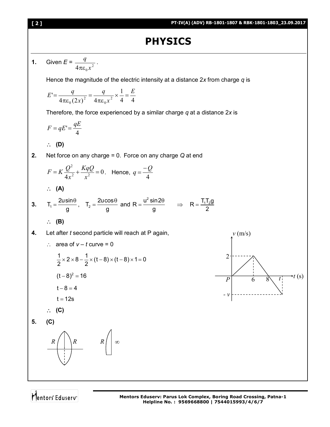# **PHYSICS**

**1.** Given  $E = \frac{q}{4\pi\epsilon_0 x^2}$ *q* πε . Hence the magnitude of the electric intensity at a distance 2*x* from charge *q* is 4 4 1  $4\pi \varepsilon_0 (2x)^2 = 4$  $\sigma = \frac{1}{4\pi\epsilon_0(2x)^2} = \frac{1}{4\pi\epsilon_0x^2}$  $\boldsymbol{0}$ 2 0 *E x q x*  $E' = \frac{q}{(q-1)^2} = \frac{q}{(q-1)^2} \times \frac{1}{t} =$ πε  $=$ πε  $=$ Therefore, the force experienced by a similar charge *q* at a distance 2*x* is 4  $F = qE' = \frac{qE}{l}$  **(D) 2.** Net force on any charge = 0. Force on any charge *Q* at end 0  $4x^2$   $x^2$ 2  $= K \frac{Q}{1} + \frac{NqQ}{2} =$ *x KqQ x*  $F = K \frac{Q^2}{4a^2} + \frac{KqQ}{2} = 0$ . Hence, 4  $q = \frac{-Q}{q}$  **(A) 3.**  $T_1 = \frac{2 \text{u} \sin \theta}{2}$ g  $=\frac{2usin\theta}{2}$ ,  $T_2=\frac{2ucos\theta}{2}$ g  $=\frac{2ucos\theta}{2}$  and  $R = \frac{u^2 \sin 2u}{\sqrt{2}}$ g  $=\frac{u^2 \sin 2\theta}{2}$   $\Rightarrow$   $R = \frac{T_1 T_2 g}{2}$ 2  $=$  **(B) 4.** Let after *t* second particle will reach at P again,  $\therefore$  area of  $v - t$  curve = 0  $\frac{1}{2}$  × 2 × 8 –  $\frac{1}{2}$  × (t – 8) × (t – 8) × 1 = 0 2 2  $\times$  2  $\times$  8  $\frac{1}{6}$   $\times$  (t  $-$  8)  $\times$  (t  $-$  8)  $\times$  1 = 0  $(t-8)^2 = 16$  $t - 8 = 4$  $t = 12s$  **(C) 5. (C)** 6  $\mathfrak{D}$  $v$  (m/s)  $P$  6 8  $\mathbf{r}$  (s) *- v R*  $R$  |  $\infty$ 

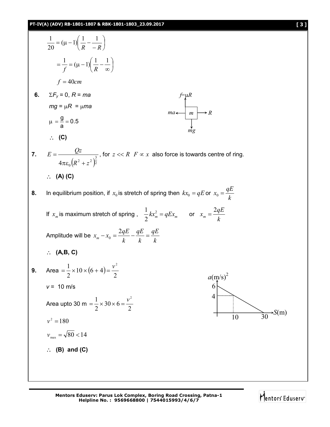$$
\frac{1}{20} = (\mu - 1)\left(\frac{1}{R} - \frac{1}{-R}\right)
$$
\n
$$
= \frac{1}{f} = (\mu - 1)\left(\frac{1}{R} - \frac{1}{-R}\right)
$$
\n $f = 40cm$ \n6.  $\Sigma F_y = 0, R = ma$ \n $mg = \mu R = \mu ma$ \n $\mu - \frac{g}{a} = 0.5$ \n $\therefore$  (C)\n7.  $E = \frac{Qz}{4\pi c_0 (R^2 + z^2)^{\frac{3}{2}}}$ , for  $z \ll R$   $F \propto x$  also force is towards centre of ring.\n $\therefore$  (A) (C)\n8. In equilibrium position, if  $x_0$  is stretch of spring then  $kx_0 = qE$  or  $x_0 = \frac{qE}{k}$   
\nIf  $x_m$  is maximum stretch of spring,  $\frac{1}{2}kx_m^2 = qEx_m$  or  $x_m = \frac{2qE}{k}$   
\nAmplitude will be  $x_m - x_0 = \frac{2qE}{k} - \frac{qE}{k} = \frac{qE}{k}$   
\n $\therefore$  (A,B, C)\n9. Area  $= \frac{1}{2} \times 10 \times (6 + 4) = \frac{v^2}{2}$   
\n $v = 10$  m/s\nArea upto 30 m =  $\frac{1}{2} \times 30 \times 6 = \frac{v^2}{2}$ \n $v^2 = 180$   
\n $v_{mn} = \sqrt{80} < 14$   
\n $\therefore$  (B) and (C)

Mentors<sup>e</sup> Eduserv<sup>-</sup>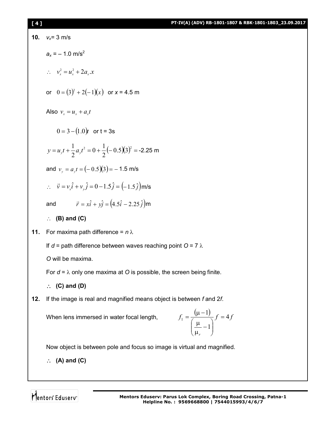| [4] | PT-IV(A) (ADV) RB-1801-1807 & RBK-1801-1803_23.09.2017                                 |
|-----|----------------------------------------------------------------------------------------|
| 10. | $v_x = 3$ m/s                                                                          |
|     | $a_x = -1.0$ m/s <sup>2</sup>                                                          |
|     | $\therefore v_x^2 = u_x^2 + 2a_x x$                                                    |
|     | or $0 = (3)^2 + 2(-1)(x)$ or $x = 4.5$ m                                               |
|     | Also $v_r = u_r + a_r t$                                                               |
|     | $0 = 3 - (1.0)t$ or $t = 3s$                                                           |
|     | $y = u_y t + \frac{1}{2} a_y t^2 = 0 + \frac{1}{2} (-0.5)(3)^2 = -2.25$ m              |
|     | and $v_y = a_y t = (-0.5)(3) = -1.5$ m/s                                               |
|     | $\vec{v} = v_x \hat{i} + v_y \hat{j} = 0 - 1.5 \hat{j} = (-1.5 \hat{j})$ m/s           |
|     | $\vec{r} = x\hat{i} + y\hat{j} = (4.5\hat{i} - 2.25\hat{j})$ m<br>and                  |
|     | $(B)$ and $(C)$<br>$\mathcal{L}_{\mathcal{L}}$                                         |
| 11. | For maxima path difference = $n \lambda$                                               |
|     | If $d =$ path difference between waves reaching point O = 7 $\lambda$                  |
|     | O will be maxima.                                                                      |
|     | For $d = \lambda$ only one maxima at O is possible, the screen being finite.           |
|     | $\therefore$ (C) and (D)                                                               |
| 12. | If the image is real and magnified means object is between f and 2f.                   |
|     | $f_1 = \frac{(\mu - 1)}{\sqrt{3}} f = 4f$<br>When lens immersed in water focal length, |

*r* 1  $\Big\}$  $\bigg)$  $\mathcal{L}_{\mathcal{L}}$  $\overline{\phantom{a}}$  $\setminus$ ſ μ  $\mu$ 

Now object is between pole and focus so image is virtual and magnified.

**(A) and (C)**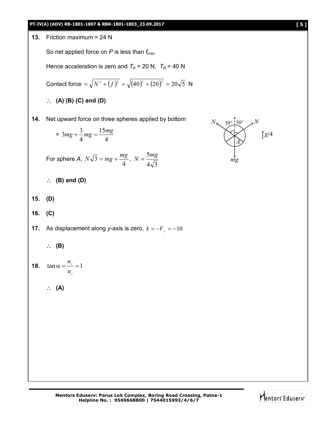



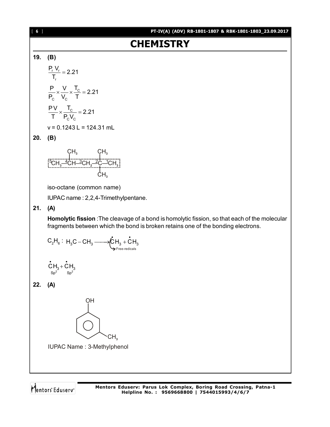

Mentors Eduserv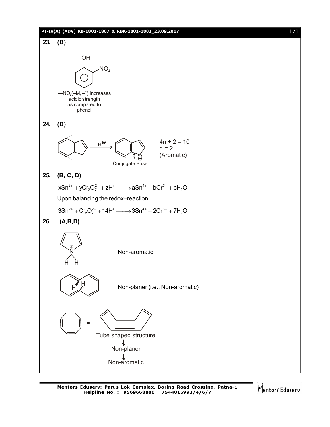### **PT-IV(A) (ADV) RB-1801-1807 & RBK-1801-1803\_23.09.2017** [ **7** ]



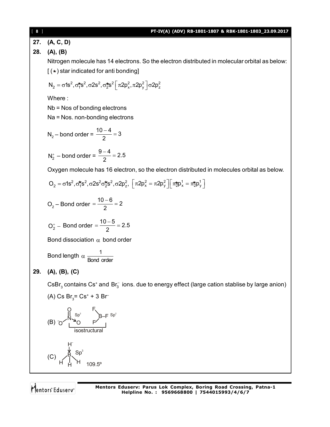[ **8** ] **PT-IV(A) (ADV) RB-1801-1807 & RBK-1801-1803\_23.09.2017 27. (A, C, D) 28. (A), (B)** Nitrogen molecule has 14 electrons. So the electron distributed in molecular orbital as below:  $($   $\star$ ) star indicated for anti bonding]  $N_2 = σ1s^2, σ_T^{*}s^2, σ2s^2, σ_2^{*}s^2 [\pi 2p_x^2, \pi 2p_y^2]\sigma 2p_z^2$ Where : Nb = Nos of bonding electrons Na = Nos. non-bonding electrons  $N_2$  – bond order =  $\frac{10-4}{2}$  = 3 2  $\frac{-4}{2}$  =  $N_2^+$  – bond order =  $\frac{9-4}{2}$  = 2.5 2  $\frac{-4}{2}$  = Oxygen molecule has 16 electron, so the electron distributed in molecules orbital as below.  $O_2 = \sigma 1s^2, \sigma_1^* s^2, \sigma 2s^2 \sigma_2^* s^2, \sigma 2p_z^2, \ \left[ \pi 2p_x^2 = \pi 2p_y^2 \right] \left[ \pi_2^* p_x^1 = \pi_2^* p_y^1 \right]$  $O_2$  – Bond order =  $\frac{10-6}{2}$  = 2 2  $=\frac{10-6}{2}=2$  $O_{2}^{+}$  – Bond order =  $\frac{10-5}{2}$  = 2.5 2  $=\frac{10-5}{2}=2$ Bond dissociation  $\alpha$  bond order Bond length  $\alpha \frac{1}{\log d}$ Bond order **29. (A), (B), (C)**  $\mathsf{CSBr}_3$  contains Cs<sup>+</sup> and Br<sub>3</sub> ions. due to energy effect (large cation stablise by large anion) (A) Cs  $Br_3 = Cs^2 + 3 Br^-$ (B) B–F isostructural N O O  $Sp^2$ F F  $Sp<sup>2</sup>$ (C)  $109.5^{\circ}$ H –  $\mathsf{Sp}^3$ H ₿, H

Mentors Eduserv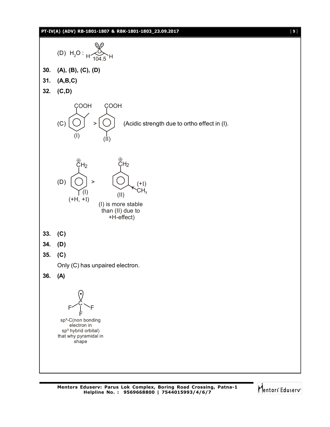### **PT-IV(A) (ADV) RB-1801-1807 & RBK-1801-1803\_23.09.2017** [ **9** ]



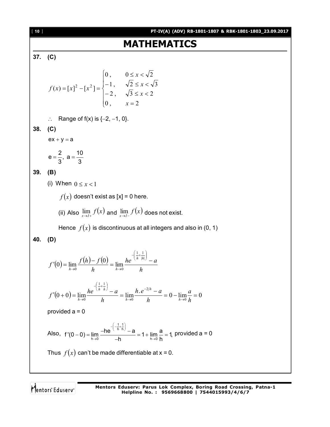[ **10** ] **PT-IV(A) (ADV) RB-1801-1807 & RBK-1801-1803\_23.09.2017 MATHEMATICS 37. (C)**  $\mathbf{I}$  $\overline{1}$  $\overline{\mathcal{L}}$  $\bigg\}$  $\overline{ }$ ↑  $\int$  $=$  $-2$ ,  $\sqrt{3} \leq x <$  $-1$ ,  $\sqrt{2} \leq x <$  $\leq x <$  $=[x]^2-[x^2]=$ 0,  $x = 2$ 2,  $\sqrt{3} \leq x < 2$ 1,  $\sqrt{2} \leq x < \sqrt{3}$  $0, \qquad 0 \leq x < \sqrt{2}$  $(x) = [x]^2 - [x^2]$ *x x x x*  $f(x) = [x]^2 - [x]$  $\therefore$  Range of f(x) is  $\{-2, -1, 0\}$ . **38. (C)**  $ex + y = a$  $e = \frac{2}{2}, a = \frac{10}{3}$  $3^{7}$  3  $=\frac{2}{3}$ , a = -**39. (B)** (i) When  $0 \leq x < 1$  $f(x)$  doesn't exist as  $[x] = 0$  here. (ii) Also  $\lim_{x\to I+} f(x)$  and  $\lim_{x\to I-} f(x)$  does not exist. Hence  $f(x)$  is discontinuous at all integers and also in (0, 1) **40. (D)**  $(0) = \lim_{h \to 0} \frac{f(h) - f(0)}{h}$ *h he*  $\binom{n}{n}$  *a h*  $f'(0) = \lim_{h \to 0} \frac{f(h) - f(h)}{h}$ *h h*  $h \rightarrow 0$  *h h*  $f'(0) = \lim_{h \to 0} \frac{f(h) - f(0)}{h} = \lim_{h \to 0} \frac{he^{-(h - |h|)} - 1}{h}$  $\bigg)$  $\left(\frac{1}{h} + \frac{1}{|h|}\right)$  $-\left(\frac{1}{7}\right)$  $\rightarrow 0$  h  $h \rightarrow$  $|h|$ 1 1  $f(0) = \lim_{h \to 0} \frac{f(h) - f(0)}{h} = \lim_{h \to 0}$  $(0+0)=\lim_{h\to 0}\frac{he^{(h-h)}-a}{h}=\lim_{h\to 0}\frac{h.e^{-2/h}-a}{h}=0-\lim_{h\to 0}\frac{a}{h}=0$ 2 0 1 1  $f(0+0) = \lim_{h\to 0} \frac{he^{(h-h)'}-a}{h} = \lim_{h\to 0} \frac{h.e^{-2/h}-a}{h} = 0 - \lim_{h\to 0} \frac{a}{h} =$ - $\rightarrow$  $\bigg)$  $\left(\frac{1}{h} + \frac{1}{h}\right)$  $-\left(\frac{1}{2}+\right)$  $\rightarrow$ <sup>0</sup> *h*  $h \rightarrow$ <sup>0</sup> *h h*  $\rightarrow$ <sup>0</sup> *h a h*  $h e^{-2/h} - a$ *h*  $f'(0+0) = \lim_{h\to 0} \frac{he^{(h-h)}-a}{h} = \lim_{h\to 0} \frac{h.e^{-2/h}-a}{h} = 0 - \lim_{h\to 0}$ *h h h h h* provided  $a = 0$ Also,  $1, 1$ h h  $f'(0-0) = \lim_{h \to 0} \frac{-he^{(h-h)'}-a}{-h} = 1 + \lim_{h \to 0} \frac{a}{h} = 1,$ h  $h \rightarrow 0$  h  $-\left(-\frac{1}{h}+\frac{1}{h}\right)$  $\rightarrow$ 0  $-$ h h $\rightarrow$  $-0$ ) =  $\lim_{h \to 0} \frac{-he^{(h h h)} - a}{h} = 1 + \lim_{h \to 0} \frac{a}{h} =$  $\overline{\phantom{a}}$ provided  $a = 0$ Thus  $f(x)$  can't be made differentiable at  $x = 0$ .

Mentors Eduserv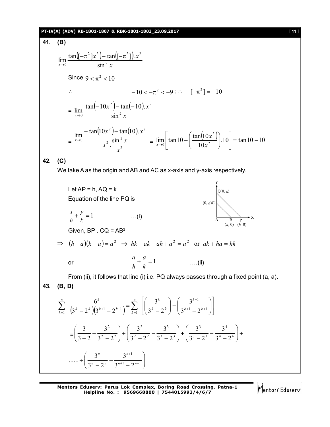# **PT-IV(A) (ADV) RB-1801-1807 & RBK-1801-1803\_23.09.2017** [ **11** ]

41. **(B)**  
\n
$$
\lim_{x\to 0} \frac{\tan(-\pi^2)x^2 - \tan((- \pi^2))x^2}{\sin^2 x}
$$
\nSince  $9 < \pi^2 < 10$   
\n $\therefore$   $-10 < -\pi^2 < -9$ ;  $\therefore$   $[-\pi^2] = -10$   
\n $= \lim_{x\to 0} \frac{\tan(-10x^2) - \tan(-10)x^2}{\sin^2 x}$   
\n $= \lim_{x\to 0} \frac{-\tan(10x^2) + \tan(10).x^2}{x^2} = \lim_{x\to 0} \left[\tan 10 - \left(\frac{\tan(10x^2)}{10x^2}\right).10\right] = \tan 10 - 10$   
\n42. **(C)**  
\nWe take A as the origin and AB and AC as x-axis and y-axis respectively.  
\nLet  $AP = h$ ,  $AQ = k$   
\nEquation of the line PQ is  
\n $\frac{x}{h} + \frac{y}{k} = 1$  ...(i)  
\nGiven, BP.  $CA = AB^2$   
\n $\Rightarrow (h-a)(k-a) = a^2 \Rightarrow hk - ak - ah + a^2 = a^2$  or  $ak + ha = hk$   
\nor  
\n $\frac{a}{h} + \frac{a}{k} = 1$  ...(ii)  
\nFrom (ii), it follows that line (i) i.e. PQ always passes through a fixed point (a, a).  
\n43. **(B, D)**  
\n $\sum_{k=1}^{n} \frac{6^k}{(3^k - 2^k)(3^{k+1} - 2^{k+1})} = \sum_{k=1}^{n} \left[\left(\frac{3^k}{3^k - 2^k}\right) - \left(\frac{3^{k+1}}{3^{k+1} - 2^{k+1}}\right)\right]$   
\n $= \left(\frac{3}{3-2} - \frac{3^2}{3^2 - 2^2}\right) + \left(\frac{3^2}{3^2 - 2^2} - \frac{3^3}{3^3 - 2^3}\right) + \left(\frac{3^3}{3^3 - 2^3} - \frac{3^4}{3^4 - 2^4}\right) + \dots + \left(\frac{3^n}{3^n - 2^n} - \frac{3^{n+1$ 

Mentors<sup>e</sup> Eduserv<sup>-</sup>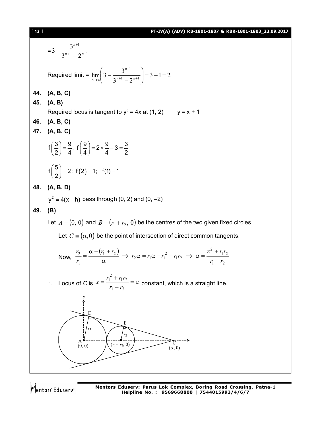#### [ **12** ] **PT-IV(A) (ADV) RB-1801-1807 & RBK-1801-1803\_23.09.2017**

 $= 3 - \frac{1}{2^{n+1} - 2^{n+1}}$ 1  $3^{n+1} - 2$  $3-\frac{3^{n+1}}{2^{n+1}}$  $^{+}$  $-\frac{5}{3^{n+1}-2^n}$ *n* Required limit =  $\lim_{n \to \infty} 3 - \frac{3}{2^{n+1}} = 3 - 1 = 2$  $3^{n+1} - 2$  $\lim_{n\to\infty}$  3 -  $\frac{3^{n+1}}{2^{n+1}}$   $\frac{3^{n+1}}{2^{n+1}}$ 1  $=3-1=$  $\bigg)$  $\setminus$  $\overline{\phantom{a}}$  $\setminus$ ſ  $-\frac{5}{3^{n+1}-2^{n+1}}$  $^{+}$  $\left| \frac{n}{2} \right|$   $\left| \frac{n+1}{2} \right| = 2^n$ *n n* **44. (A, B, C) 45. (A, B)** Required locus is tangent to  $y^2 = 4x$  at (1, 2)  $y = x + 1$ **46. (A, B, C) 47. (A, B, C)**  $f\left(\frac{3}{2}\right) = \frac{9}{4}$ ;  $f\left(\frac{9}{4}\right) = 2 \times \frac{9}{4} - 3 = \frac{3}{8}$  $2)$  4  $(4)$  4 2  $\left(\frac{3}{2}\right) = \frac{9}{4}$ ;  $f\left(\frac{9}{4}\right) = 2 \times \frac{9}{4} - 3 = \frac{3}{4}$  $(2)$  $f\left(\frac{5}{5}\right) = 2$ ;  $f(2) = 1$ ;  $f(1) = 1$ 2  $\left(\frac{5}{2}\right)$  = 2; f(2) = 1; f(1) = 1 **48. (A, B, D)**  $y^2 = 4(x - h)$  pass through (0, 2) and (0, –2) **49. (B)** Let  $A = (0, 0)$  and  $B = (r_1 + r_2, 0)$  be the centres of the two given fixed circles. Let  $C = (\alpha, 0)$  be the point of intersection of direct common tangents. Now,  $(r_1 + r_2)$  $1 - r_2$  $1'2$ 2  $i_1 r_2 \Rightarrow \alpha = \frac{r_1}{r_2}$ 2  $\frac{1+r_2}{r_1} \Rightarrow r_2 \alpha = r_1 \alpha - r_1$ 1 2  $r_1 - r$  $\frac{r_1 + r_2}{r_1 + r_2}$   $\Rightarrow$   $r_2 \alpha = r_1 \alpha - r_1^2 - r_1 r_2 \Rightarrow \alpha = \frac{r_1^2 + r_1 r_2}{r_1 + r_2}$ *r r*  $\overline{a}$  $\Rightarrow$   $r_2 \alpha = r_1 \alpha - r_1^2 - r_1 r_2 \Rightarrow \alpha = \frac{r_1^2 + r_2}{r_1^2 + r_2^2}$  $\alpha$  $=\frac{\alpha-(r_1+1)}{r_2+1}$ ∴ Locus of *C* is  $x = \frac{r_1 + r_1 r_2}{r_1 - r_2} = a$  $x = \frac{r_1^2 + r_1 r_2}{r_1}$ - $=\frac{r_1^2+}{r_1^2}$  $1 - r_2$  $1'2$ 2  $\frac{1 + r_1 r_2}{r_1 + r_2} = a$  constant, which is a straight line. A  $\left\{ (r_1+r_2, 0) \right\}$  ( $r_1+r_2, 0$ ) E D (0, 0) *r*1  $r<sub>2</sub>$ y